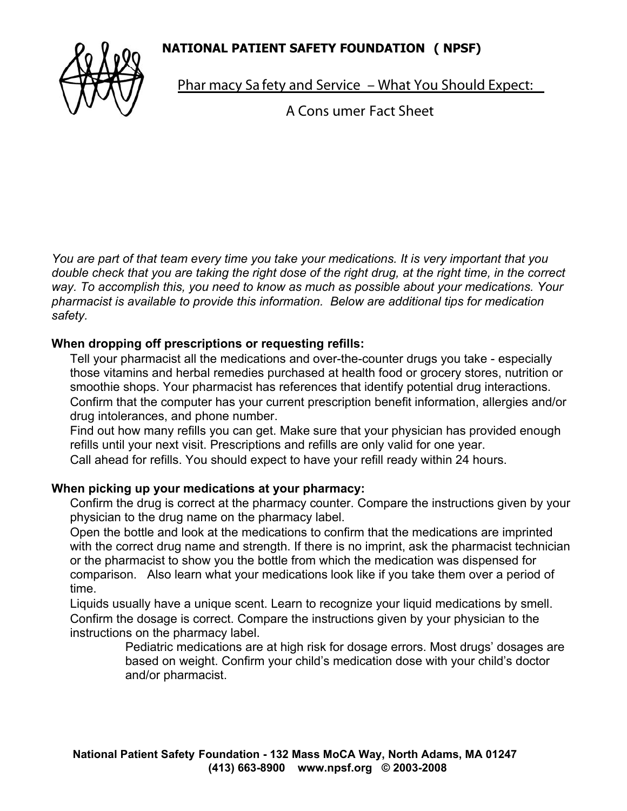## **NATIONAL PATIENT SAFETY FOUNDATION ( NPSF)**



Phar macy Sa fety and Service – What You Should Expect:

A Cons umer Fact Sheet

*You are part of that team every time you take your medications. It is very important that you double check that you are taking the right dose of the right drug, at the right time, in the correct way. To accomplish this, you need to know as much as possible about your medications. Your pharmacist is available to provide this information. Below are additional tips for medication safety.*

## **When dropping off prescriptions or requesting refills:**

Tell your pharmacist all the medications and over-the-counter drugs you take - especially those vitamins and herbal remedies purchased at health food or grocery stores, nutrition or smoothie shops. Your pharmacist has references that identify potential drug interactions. Confirm that the computer has your current prescription benefit information, allergies and/or drug intolerances, and phone number.

Find out how many refills you can get. Make sure that your physician has provided enough refills until your next visit. Prescriptions and refills are only valid for one year. Call ahead for refills. You should expect to have your refill ready within 24 hours.

## **When picking up your medications at your pharmacy:**

Confirm the drug is correct at the pharmacy counter. Compare the instructions given by your physician to the drug name on the pharmacy label.

Open the bottle and look at the medications to confirm that the medications are imprinted with the correct drug name and strength. If there is no imprint, ask the pharmacist technician or the pharmacist to show you the bottle from which the medication was dispensed for comparison. Also learn what your medications look like if you take them over a period of time.

Liquids usually have a unique scent. Learn to recognize your liquid medications by smell. Confirm the dosage is correct. Compare the instructions given by your physician to the instructions on the pharmacy label.

Pediatric medications are at high risk for dosage errors. Most drugs' dosages are based on weight. Confirm your child's medication dose with your child's doctor and/or pharmacist.